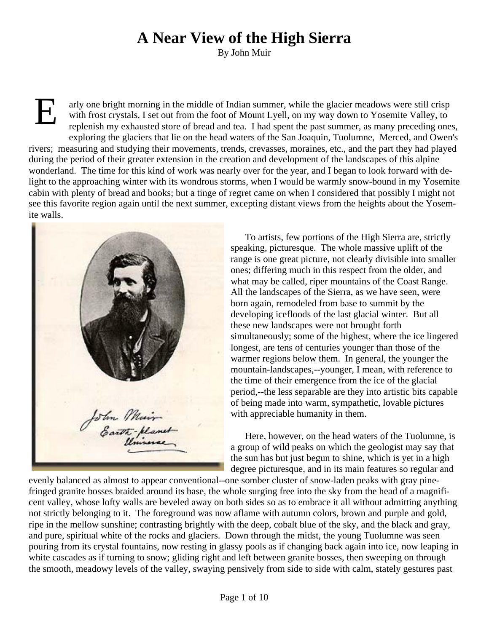## **A Near View of the High Sierra**

By John Muir

E arly one bright morning in the middle of Indian summer, while the glacier meadows were still crisp with frost crystals, I set out from the foot of Mount Lyell, on my way down to Yosemite Valley, to replenish my exhausted store of bread and tea. I had spent the past summer, as many preceding ones, exploring the glaciers that lie on the head waters of the San Joaquin, Tuolumne, Merced, and Owen's rivers; measuring and studying their movements, trends, crevasses, moraines, etc., and the part they had played during the period of their greater extension in the creation and development of the landscapes of this alpine wonderland. The time for this kind of work was nearly over for the year, and I began to look forward with delight to the approaching winter with its wondrous storms, when I would be warmly snow-bound in my Yosemite cabin with plenty of bread and books; but a tinge of regret came on when I considered that possibly I might not see this favorite region again until the next summer, excepting distant views from the heights about the Yosemite walls.



To artists, few portions of the High Sierra are, strictly speaking, picturesque. The whole massive uplift of the range is one great picture, not clearly divisible into smaller ones; differing much in this respect from the older, and what may be called, riper mountains of the Coast Range. All the landscapes of the Sierra, as we have seen, were born again, remodeled from base to summit by the developing icefloods of the last glacial winter. But all these new landscapes were not brought forth simultaneously; some of the highest, where the ice lingered longest, are tens of centuries younger than those of the warmer regions below them. In general, the younger the mountain-landscapes,--younger, I mean, with reference to the time of their emergence from the ice of the glacial period,--the less separable are they into artistic bits capable of being made into warm, sympathetic, lovable pictures with appreciable humanity in them.

Here, however, on the head waters of the Tuolumne, is a group of wild peaks on which the geologist may say that the sun has but just begun to shine, which is yet in a high degree picturesque, and in its main features so regular and

evenly balanced as almost to appear conventional--one somber cluster of snow-laden peaks with gray pinefringed granite bosses braided around its base, the whole surging free into the sky from the head of a magnificent valley, whose lofty walls are beveled away on both sides so as to embrace it all without admitting anything not strictly belonging to it. The foreground was now aflame with autumn colors, brown and purple and gold, ripe in the mellow sunshine; contrasting brightly with the deep, cobalt blue of the sky, and the black and gray, and pure, spiritual white of the rocks and glaciers. Down through the midst, the young Tuolumne was seen pouring from its crystal fountains, now resting in glassy pools as if changing back again into ice, now leaping in white cascades as if turning to snow; gliding right and left between granite bosses, then sweeping on through the smooth, meadowy levels of the valley, swaying pensively from side to side with calm, stately gestures past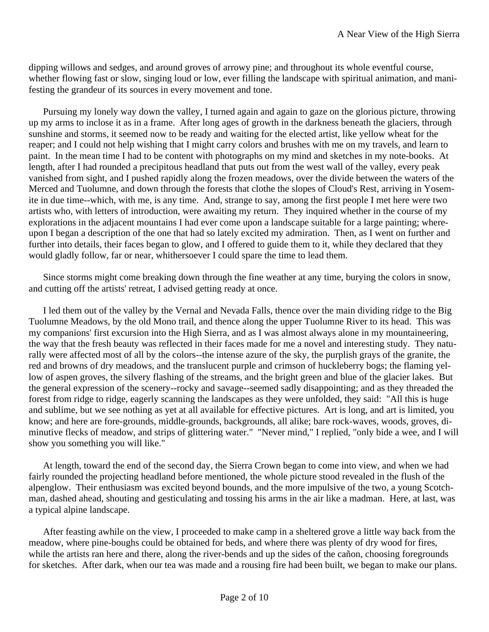dipping willows and sedges, and around groves of arrowy pine; and throughout its whole eventful course, whether flowing fast or slow, singing loud or low, ever filling the landscape with spiritual animation, and manifesting the grandeur of its sources in every movement and tone.

Pursuing my lonely way down the valley, I turned again and again to gaze on the glorious picture, throwing up my arms to inclose it as in a frame. After long ages of growth in the darkness beneath the glaciers, through sunshine and storms, it seemed now to be ready and waiting for the elected artist, like yellow wheat for the reaper; and I could not help wishing that I might carry colors and brushes with me on my travels, and learn to paint. In the mean time I had to be content with photographs on my mind and sketches in my note-books. At length, after I had rounded a precipitous headland that puts out from the west wall of the valley, every peak vanished from sight, and I pushed rapidly along the frozen meadows, over the divide between the waters of the Merced and Tuolumne, and down through the forests that clothe the slopes of Cloud's Rest, arriving in Yosemite in due time--which, with me, is any time. And, strange to say, among the first people I met here were two artists who, with letters of introduction, were awaiting my return. They inquired whether in the course of my explorations in the adjacent mountains I had ever come upon a landscape suitable for a large painting; whereupon I began a description of the one that had so lately excited my admiration. Then, as I went on further and further into details, their faces began to glow, and I offered to guide them to it, while they declared that they would gladly follow, far or near, whithersoever I could spare the time to lead them.

Since storms might come breaking down through the fine weather at any time, burying the colors in snow, and cutting off the artists' retreat, I advised getting ready at once.

I led them out of the valley by the Vernal and Nevada Falls, thence over the main dividing ridge to the Big Tuolumne Meadows, by the old Mono trail, and thence along the upper Tuolumne River to its head. This was my companions' first excursion into the High Sierra, and as I was almost always alone in my mountaineering, the way that the fresh beauty was reflected in their faces made for me a novel and interesting study. They naturally were affected most of all by the colors--the intense azure of the sky, the purplish grays of the granite, the red and browns of dry meadows, and the translucent purple and crimson of huckleberry bogs; the flaming yellow of aspen groves, the silvery flashing of the streams, and the bright green and blue of the glacier lakes. But the general expression of the scenery--rocky and savage--seemed sadly disappointing; and as they threaded the forest from ridge to ridge, eagerly scanning the landscapes as they were unfolded, they said: "All this is huge and sublime, but we see nothing as yet at all available for effective pictures. Art is long, and art is limited, you know; and here are fore-grounds, middle-grounds, backgrounds, all alike; bare rock-waves, woods, groves, diminutive flecks of meadow, and strips of glittering water." "Never mind," I replied, "only bide a wee, and I will show you something you will like."

At length, toward the end of the second day, the Sierra Crown began to come into view, and when we had fairly rounded the projecting headland before mentioned, the whole picture stood revealed in the flush of the alpenglow. Their enthusiasm was excited beyond bounds, and the more impulsive of the two, a young Scotchman, dashed ahead, shouting and gesticulating and tossing his arms in the air like a madman. Here, at last, was a typical alpine landscape.

After feasting awhile on the view, I proceeded to make camp in a sheltered grove a little way back from the meadow, where pine-boughs could be obtained for beds, and where there was plenty of dry wood for fires, while the artists ran here and there, along the river-bends and up the sides of the cañon, choosing foregrounds for sketches. After dark, when our tea was made and a rousing fire had been built, we began to make our plans.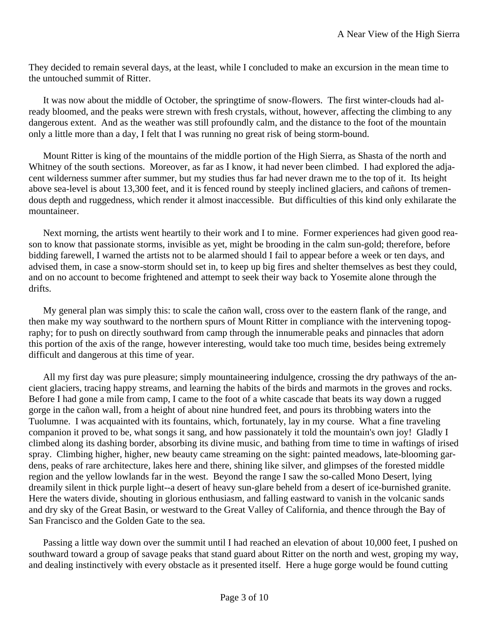They decided to remain several days, at the least, while I concluded to make an excursion in the mean time to the untouched summit of Ritter.

It was now about the middle of October, the springtime of snow-flowers. The first winter-clouds had already bloomed, and the peaks were strewn with fresh crystals, without, however, affecting the climbing to any dangerous extent. And as the weather was still profoundly calm, and the distance to the foot of the mountain only a little more than a day, I felt that I was running no great risk of being storm-bound.

Mount Ritter is king of the mountains of the middle portion of the High Sierra, as Shasta of the north and Whitney of the south sections. Moreover, as far as I know, it had never been climbed. I had explored the adjacent wilderness summer after summer, but my studies thus far had never drawn me to the top of it. Its height above sea-level is about 13,300 feet, and it is fenced round by steeply inclined glaciers, and cañons of tremendous depth and ruggedness, which render it almost inaccessible. But difficulties of this kind only exhilarate the mountaineer.

Next morning, the artists went heartily to their work and I to mine. Former experiences had given good reason to know that passionate storms, invisible as yet, might be brooding in the calm sun-gold; therefore, before bidding farewell, I warned the artists not to be alarmed should I fail to appear before a week or ten days, and advised them, in case a snow-storm should set in, to keep up big fires and shelter themselves as best they could, and on no account to become frightened and attempt to seek their way back to Yosemite alone through the drifts.

My general plan was simply this: to scale the cañon wall, cross over to the eastern flank of the range, and then make my way southward to the northern spurs of Mount Ritter in compliance with the intervening topography; for to push on directly southward from camp through the innumerable peaks and pinnacles that adorn this portion of the axis of the range, however interesting, would take too much time, besides being extremely difficult and dangerous at this time of year.

All my first day was pure pleasure; simply mountaineering indulgence, crossing the dry pathways of the ancient glaciers, tracing happy streams, and learning the habits of the birds and marmots in the groves and rocks. Before I had gone a mile from camp, I came to the foot of a white cascade that beats its way down a rugged gorge in the cañon wall, from a height of about nine hundred feet, and pours its throbbing waters into the Tuolumne. I was acquainted with its fountains, which, fortunately, lay in my course. What a fine traveling companion it proved to be, what songs it sang, and how passionately it told the mountain's own joy! Gladly I climbed along its dashing border, absorbing its divine music, and bathing from time to time in waftings of irised spray. Climbing higher, higher, new beauty came streaming on the sight: painted meadows, late-blooming gardens, peaks of rare architecture, lakes here and there, shining like silver, and glimpses of the forested middle region and the yellow lowlands far in the west. Beyond the range I saw the so-called Mono Desert, lying dreamily silent in thick purple light--a desert of heavy sun-glare beheld from a desert of ice-burnished granite. Here the waters divide, shouting in glorious enthusiasm, and falling eastward to vanish in the volcanic sands and dry sky of the Great Basin, or westward to the Great Valley of California, and thence through the Bay of San Francisco and the Golden Gate to the sea.

Passing a little way down over the summit until I had reached an elevation of about 10,000 feet, I pushed on southward toward a group of savage peaks that stand guard about Ritter on the north and west, groping my way, and dealing instinctively with every obstacle as it presented itself. Here a huge gorge would be found cutting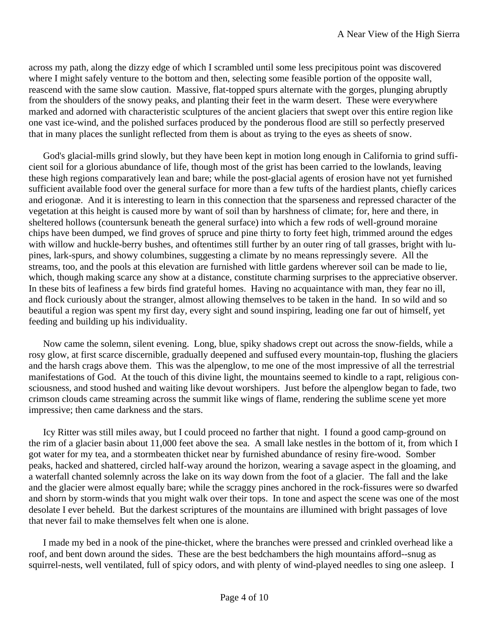across my path, along the dizzy edge of which I scrambled until some less precipitous point was discovered where I might safely venture to the bottom and then, selecting some feasible portion of the opposite wall, reascend with the same slow caution. Massive, flat-topped spurs alternate with the gorges, plunging abruptly from the shoulders of the snowy peaks, and planting their feet in the warm desert. These were everywhere marked and adorned with characteristic sculptures of the ancient glaciers that swept over this entire region like one vast ice-wind, and the polished surfaces produced by the ponderous flood are still so perfectly preserved that in many places the sunlight reflected from them is about as trying to the eyes as sheets of snow.

God's glacial-mills grind slowly, but they have been kept in motion long enough in California to grind sufficient soil for a glorious abundance of life, though most of the grist has been carried to the lowlands, leaving these high regions comparatively lean and bare; while the post-glacial agents of erosion have not yet furnished sufficient available food over the general surface for more than a few tufts of the hardiest plants, chiefly carices and eriogonæ. And it is interesting to learn in this connection that the sparseness and repressed character of the vegetation at this height is caused more by want of soil than by harshness of climate; for, here and there, in sheltered hollows (countersunk beneath the general surface) into which a few rods of well-ground moraine chips have been dumped, we find groves of spruce and pine thirty to forty feet high, trimmed around the edges with willow and huckle-berry bushes, and oftentimes still further by an outer ring of tall grasses, bright with lupines, lark-spurs, and showy columbines, suggesting a climate by no means repressingly severe. All the streams, too, and the pools at this elevation are furnished with little gardens wherever soil can be made to lie, which, though making scarce any show at a distance, constitute charming surprises to the appreciative observer. In these bits of leafiness a few birds find grateful homes. Having no acquaintance with man, they fear no ill, and flock curiously about the stranger, almost allowing themselves to be taken in the hand. In so wild and so beautiful a region was spent my first day, every sight and sound inspiring, leading one far out of himself, yet feeding and building up his individuality.

Now came the solemn, silent evening. Long, blue, spiky shadows crept out across the snow-fields, while a rosy glow, at first scarce discernible, gradually deepened and suffused every mountain-top, flushing the glaciers and the harsh crags above them. This was the alpenglow, to me one of the most impressive of all the terrestrial manifestations of God. At the touch of this divine light, the mountains seemed to kindle to a rapt, religious consciousness, and stood hushed and waiting like devout worshipers. Just before the alpenglow began to fade, two crimson clouds came streaming across the summit like wings of flame, rendering the sublime scene yet more impressive; then came darkness and the stars.

Icy Ritter was still miles away, but I could proceed no farther that night. I found a good camp-ground on the rim of a glacier basin about 11,000 feet above the sea. A small lake nestles in the bottom of it, from which I got water for my tea, and a stormbeaten thicket near by furnished abundance of resiny fire-wood. Somber peaks, hacked and shattered, circled half-way around the horizon, wearing a savage aspect in the gloaming, and a waterfall chanted solemnly across the lake on its way down from the foot of a glacier. The fall and the lake and the glacier were almost equally bare; while the scraggy pines anchored in the rock-fissures were so dwarfed and shorn by storm-winds that you might walk over their tops. In tone and aspect the scene was one of the most desolate I ever beheld. But the darkest scriptures of the mountains are illumined with bright passages of love that never fail to make themselves felt when one is alone.

I made my bed in a nook of the pine-thicket, where the branches were pressed and crinkled overhead like a roof, and bent down around the sides. These are the best bedchambers the high mountains afford--snug as squirrel-nests, well ventilated, full of spicy odors, and with plenty of wind-played needles to sing one asleep. I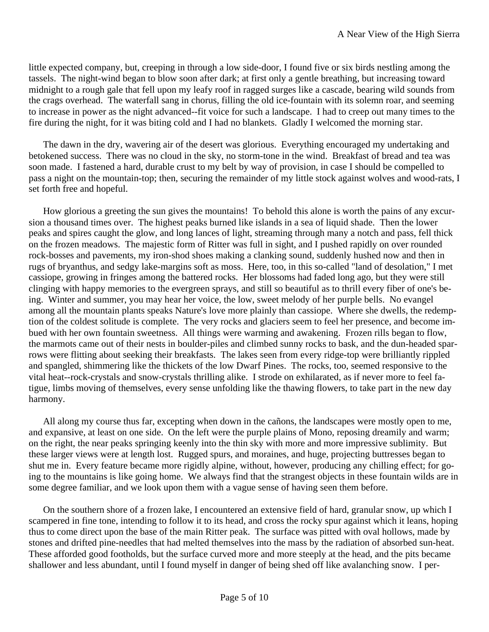little expected company, but, creeping in through a low side-door, I found five or six birds nestling among the tassels. The night-wind began to blow soon after dark; at first only a gentle breathing, but increasing toward midnight to a rough gale that fell upon my leafy roof in ragged surges like a cascade, bearing wild sounds from the crags overhead. The waterfall sang in chorus, filling the old ice-fountain with its solemn roar, and seeming to increase in power as the night advanced--fit voice for such a landscape. I had to creep out many times to the fire during the night, for it was biting cold and I had no blankets. Gladly I welcomed the morning star.

The dawn in the dry, wavering air of the desert was glorious. Everything encouraged my undertaking and betokened success. There was no cloud in the sky, no storm-tone in the wind. Breakfast of bread and tea was soon made. I fastened a hard, durable crust to my belt by way of provision, in case I should be compelled to pass a night on the mountain-top; then, securing the remainder of my little stock against wolves and wood-rats, I set forth free and hopeful.

How glorious a greeting the sun gives the mountains! To behold this alone is worth the pains of any excursion a thousand times over. The highest peaks burned like islands in a sea of liquid shade. Then the lower peaks and spires caught the glow, and long lances of light, streaming through many a notch and pass, fell thick on the frozen meadows. The majestic form of Ritter was full in sight, and I pushed rapidly on over rounded rock-bosses and pavements, my iron-shod shoes making a clanking sound, suddenly hushed now and then in rugs of bryanthus, and sedgy lake-margins soft as moss. Here, too, in this so-called "land of desolation," I met cassiope, growing in fringes among the battered rocks. Her blossoms had faded long ago, but they were still clinging with happy memories to the evergreen sprays, and still so beautiful as to thrill every fiber of one's being. Winter and summer, you may hear her voice, the low, sweet melody of her purple bells. No evangel among all the mountain plants speaks Nature's love more plainly than cassiope. Where she dwells, the redemption of the coldest solitude is complete. The very rocks and glaciers seem to feel her presence, and become imbued with her own fountain sweetness. All things were warming and awakening. Frozen rills began to flow, the marmots came out of their nests in boulder-piles and climbed sunny rocks to bask, and the dun-headed sparrows were flitting about seeking their breakfasts. The lakes seen from every ridge-top were brilliantly rippled and spangled, shimmering like the thickets of the low Dwarf Pines. The rocks, too, seemed responsive to the vital heat--rock-crystals and snow-crystals thrilling alike. I strode on exhilarated, as if never more to feel fatigue, limbs moving of themselves, every sense unfolding like the thawing flowers, to take part in the new day harmony.

All along my course thus far, excepting when down in the cañons, the landscapes were mostly open to me, and expansive, at least on one side. On the left were the purple plains of Mono, reposing dreamily and warm; on the right, the near peaks springing keenly into the thin sky with more and more impressive sublimity. But these larger views were at length lost. Rugged spurs, and moraines, and huge, projecting buttresses began to shut me in. Every feature became more rigidly alpine, without, however, producing any chilling effect; for going to the mountains is like going home. We always find that the strangest objects in these fountain wilds are in some degree familiar, and we look upon them with a vague sense of having seen them before.

On the southern shore of a frozen lake, I encountered an extensive field of hard, granular snow, up which I scampered in fine tone, intending to follow it to its head, and cross the rocky spur against which it leans, hoping thus to come direct upon the base of the main Ritter peak. The surface was pitted with oval hollows, made by stones and drifted pine-needles that had melted themselves into the mass by the radiation of absorbed sun-heat. These afforded good footholds, but the surface curved more and more steeply at the head, and the pits became shallower and less abundant, until I found myself in danger of being shed off like avalanching snow. I per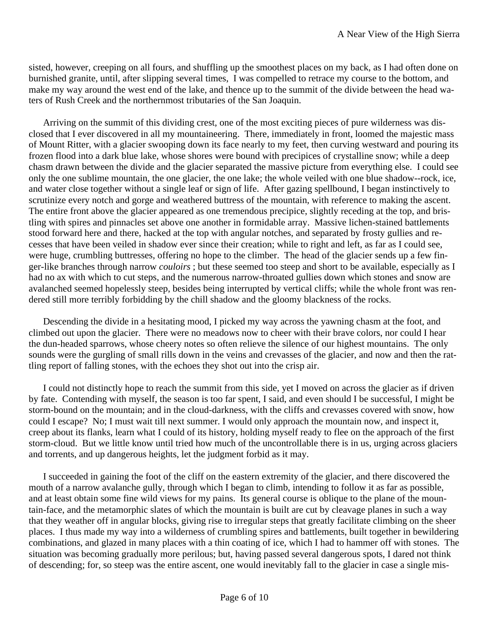sisted, however, creeping on all fours, and shuffling up the smoothest places on my back, as I had often done on burnished granite, until, after slipping several times, I was compelled to retrace my course to the bottom, and make my way around the west end of the lake, and thence up to the summit of the divide between the head waters of Rush Creek and the northernmost tributaries of the San Joaquin.

Arriving on the summit of this dividing crest, one of the most exciting pieces of pure wilderness was disclosed that I ever discovered in all my mountaineering. There, immediately in front, loomed the majestic mass of Mount Ritter, with a glacier swooping down its face nearly to my feet, then curving westward and pouring its frozen flood into a dark blue lake, whose shores were bound with precipices of crystalline snow; while a deep chasm drawn between the divide and the glacier separated the massive picture from everything else. I could see only the one sublime mountain, the one glacier, the one lake; the whole veiled with one blue shadow--rock, ice, and water close together without a single leaf or sign of life. After gazing spellbound, I began instinctively to scrutinize every notch and gorge and weathered buttress of the mountain, with reference to making the ascent. The entire front above the glacier appeared as one tremendous precipice, slightly receding at the top, and bristling with spires and pinnacles set above one another in formidable array. Massive lichen-stained battlements stood forward here and there, hacked at the top with angular notches, and separated by frosty gullies and recesses that have been veiled in shadow ever since their creation; while to right and left, as far as I could see, were huge, crumbling buttresses, offering no hope to the climber. The head of the glacier sends up a few finger-like branches through narrow *couloirs* ; but these seemed too steep and short to be available, especially as I had no ax with which to cut steps, and the numerous narrow-throated gullies down which stones and snow are avalanched seemed hopelessly steep, besides being interrupted by vertical cliffs; while the whole front was rendered still more terribly forbidding by the chill shadow and the gloomy blackness of the rocks.

Descending the divide in a hesitating mood, I picked my way across the yawning chasm at the foot, and climbed out upon the glacier. There were no meadows now to cheer with their brave colors, nor could I hear the dun-headed sparrows, whose cheery notes so often relieve the silence of our highest mountains. The only sounds were the gurgling of small rills down in the veins and crevasses of the glacier, and now and then the rattling report of falling stones, with the echoes they shot out into the crisp air.

I could not distinctly hope to reach the summit from this side, yet I moved on across the glacier as if driven by fate. Contending with myself, the season is too far spent, I said, and even should I be successful, I might be storm-bound on the mountain; and in the cloud-darkness, with the cliffs and crevasses covered with snow, how could I escape? No; I must wait till next summer. I would only approach the mountain now, and inspect it, creep about its flanks, learn what I could of its history, holding myself ready to flee on the approach of the first storm-cloud. But we little know until tried how much of the uncontrollable there is in us, urging across glaciers and torrents, and up dangerous heights, let the judgment forbid as it may.

I succeeded in gaining the foot of the cliff on the eastern extremity of the glacier, and there discovered the mouth of a narrow avalanche gully, through which I began to climb, intending to follow it as far as possible, and at least obtain some fine wild views for my pains. Its general course is oblique to the plane of the mountain-face, and the metamorphic slates of which the mountain is built are cut by cleavage planes in such a way that they weather off in angular blocks, giving rise to irregular steps that greatly facilitate climbing on the sheer places. I thus made my way into a wilderness of crumbling spires and battlements, built together in bewildering combinations, and glazed in many places with a thin coating of ice, which I had to hammer off with stones. The situation was becoming gradually more perilous; but, having passed several dangerous spots, I dared not think of descending; for, so steep was the entire ascent, one would inevitably fall to the glacier in case a single mis-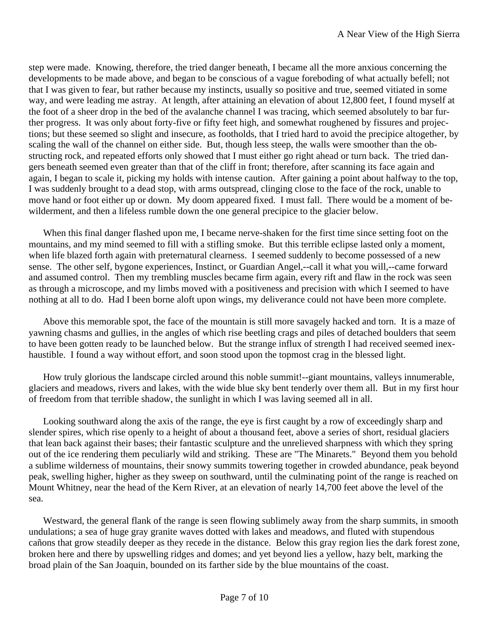step were made. Knowing, therefore, the tried danger beneath, I became all the more anxious concerning the developments to be made above, and began to be conscious of a vague foreboding of what actually befell; not that I was given to fear, but rather because my instincts, usually so positive and true, seemed vitiated in some way, and were leading me astray. At length, after attaining an elevation of about 12,800 feet, I found myself at the foot of a sheer drop in the bed of the avalanche channel I was tracing, which seemed absolutely to bar further progress. It was only about forty-five or fifty feet high, and somewhat roughened by fissures and projections; but these seemed so slight and insecure, as footholds, that I tried hard to avoid the precipice altogether, by scaling the wall of the channel on either side. But, though less steep, the walls were smoother than the obstructing rock, and repeated efforts only showed that I must either go right ahead or turn back. The tried dangers beneath seemed even greater than that of the cliff in front; therefore, after scanning its face again and again, I began to scale it, picking my holds with intense caution. After gaining a point about halfway to the top, I was suddenly brought to a dead stop, with arms outspread, clinging close to the face of the rock, unable to move hand or foot either up or down. My doom appeared fixed. I must fall. There would be a moment of bewilderment, and then a lifeless rumble down the one general precipice to the glacier below.

When this final danger flashed upon me, I became nerve-shaken for the first time since setting foot on the mountains, and my mind seemed to fill with a stifling smoke. But this terrible eclipse lasted only a moment, when life blazed forth again with preternatural clearness. I seemed suddenly to become possessed of a new sense. The other self, bygone experiences, Instinct, or Guardian Angel,--call it what you will,--came forward and assumed control. Then my trembling muscles became firm again, every rift and flaw in the rock was seen as through a microscope, and my limbs moved with a positiveness and precision with which I seemed to have nothing at all to do. Had I been borne aloft upon wings, my deliverance could not have been more complete.

Above this memorable spot, the face of the mountain is still more savagely hacked and torn. It is a maze of yawning chasms and gullies, in the angles of which rise beetling crags and piles of detached boulders that seem to have been gotten ready to be launched below. But the strange influx of strength I had received seemed inexhaustible. I found a way without effort, and soon stood upon the topmost crag in the blessed light.

How truly glorious the landscape circled around this noble summit!--giant mountains, valleys innumerable, glaciers and meadows, rivers and lakes, with the wide blue sky bent tenderly over them all. But in my first hour of freedom from that terrible shadow, the sunlight in which I was laving seemed all in all.

Looking southward along the axis of the range, the eye is first caught by a row of exceedingly sharp and slender spires, which rise openly to a height of about a thousand feet, above a series of short, residual glaciers that lean back against their bases; their fantastic sculpture and the unrelieved sharpness with which they spring out of the ice rendering them peculiarly wild and striking. These are "The Minarets." Beyond them you behold a sublime wilderness of mountains, their snowy summits towering together in crowded abundance, peak beyond peak, swelling higher, higher as they sweep on southward, until the culminating point of the range is reached on Mount Whitney, near the head of the Kern River, at an elevation of nearly 14,700 feet above the level of the sea.

Westward, the general flank of the range is seen flowing sublimely away from the sharp summits, in smooth undulations; a sea of huge gray granite waves dotted with lakes and meadows, and fluted with stupendous cañons that grow steadily deeper as they recede in the distance. Below this gray region lies the dark forest zone, broken here and there by upswelling ridges and domes; and yet beyond lies a yellow, hazy belt, marking the broad plain of the San Joaquin, bounded on its farther side by the blue mountains of the coast.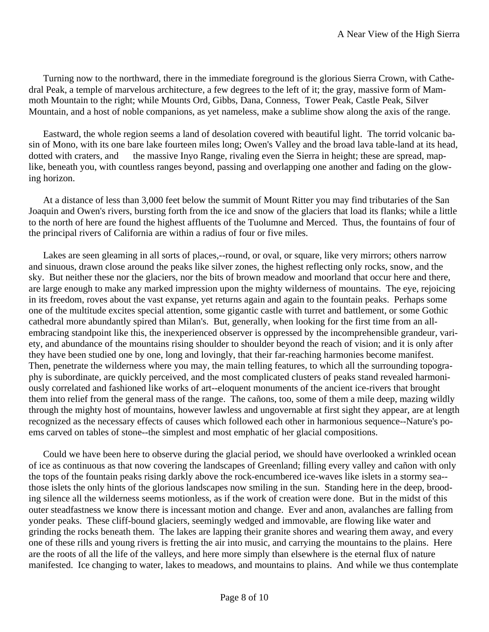Turning now to the northward, there in the immediate foreground is the glorious Sierra Crown, with Cathedral Peak, a temple of marvelous architecture, a few degrees to the left of it; the gray, massive form of Mammoth Mountain to the right; while Mounts Ord, Gibbs, Dana, Conness, Tower Peak, Castle Peak, Silver Mountain, and a host of noble companions, as yet nameless, make a sublime show along the axis of the range.

Eastward, the whole region seems a land of desolation covered with beautiful light. The torrid volcanic basin of Mono, with its one bare lake fourteen miles long; Owen's Valley and the broad lava table-land at its head, dotted with craters, and the massive Inyo Range, rivaling even the Sierra in height; these are spread, maplike, beneath you, with countless ranges beyond, passing and overlapping one another and fading on the glowing horizon.

At a distance of less than 3,000 feet below the summit of Mount Ritter you may find tributaries of the San Joaquin and Owen's rivers, bursting forth from the ice and snow of the glaciers that load its flanks; while a little to the north of here are found the highest affluents of the Tuolumne and Merced. Thus, the fountains of four of the principal rivers of California are within a radius of four or five miles.

Lakes are seen gleaming in all sorts of places,--round, or oval, or square, like very mirrors; others narrow and sinuous, drawn close around the peaks like silver zones, the highest reflecting only rocks, snow, and the sky. But neither these nor the glaciers, nor the bits of brown meadow and moorland that occur here and there, are large enough to make any marked impression upon the mighty wilderness of mountains. The eye, rejoicing in its freedom, roves about the vast expanse, yet returns again and again to the fountain peaks. Perhaps some one of the multitude excites special attention, some gigantic castle with turret and battlement, or some Gothic cathedral more abundantly spired than Milan's. But, generally, when looking for the first time from an allembracing standpoint like this, the inexperienced observer is oppressed by the incomprehensible grandeur, variety, and abundance of the mountains rising shoulder to shoulder beyond the reach of vision; and it is only after they have been studied one by one, long and lovingly, that their far-reaching harmonies become manifest. Then, penetrate the wilderness where you may, the main telling features, to which all the surrounding topography is subordinate, are quickly perceived, and the most complicated clusters of peaks stand revealed harmoniously correlated and fashioned like works of art--eloquent monuments of the ancient ice-rivers that brought them into relief from the general mass of the range. The cañons, too, some of them a mile deep, mazing wildly through the mighty host of mountains, however lawless and ungovernable at first sight they appear, are at length recognized as the necessary effects of causes which followed each other in harmonious sequence--Nature's poems carved on tables of stone--the simplest and most emphatic of her glacial compositions.

Could we have been here to observe during the glacial period, we should have overlooked a wrinkled ocean of ice as continuous as that now covering the landscapes of Greenland; filling every valley and cañon with only the tops of the fountain peaks rising darkly above the rock-encumbered ice-waves like islets in a stormy sea- those islets the only hints of the glorious landscapes now smiling in the sun. Standing here in the deep, brooding silence all the wilderness seems motionless, as if the work of creation were done. But in the midst of this outer steadfastness we know there is incessant motion and change. Ever and anon, avalanches are falling from yonder peaks. These cliff-bound glaciers, seemingly wedged and immovable, are flowing like water and grinding the rocks beneath them. The lakes are lapping their granite shores and wearing them away, and every one of these rills and young rivers is fretting the air into music, and carrying the mountains to the plains. Here are the roots of all the life of the valleys, and here more simply than elsewhere is the eternal flux of nature manifested. Ice changing to water, lakes to meadows, and mountains to plains. And while we thus contemplate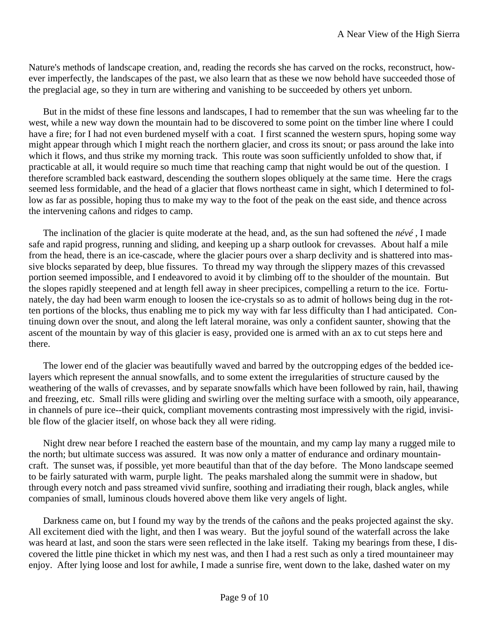Nature's methods of landscape creation, and, reading the records she has carved on the rocks, reconstruct, however imperfectly, the landscapes of the past, we also learn that as these we now behold have succeeded those of the preglacial age, so they in turn are withering and vanishing to be succeeded by others yet unborn.

But in the midst of these fine lessons and landscapes, I had to remember that the sun was wheeling far to the west, while a new way down the mountain had to be discovered to some point on the timber line where I could have a fire; for I had not even burdened myself with a coat. I first scanned the western spurs, hoping some way might appear through which I might reach the northern glacier, and cross its snout; or pass around the lake into which it flows, and thus strike my morning track. This route was soon sufficiently unfolded to show that, if practicable at all, it would require so much time that reaching camp that night would be out of the question. I therefore scrambled back eastward, descending the southern slopes obliquely at the same time. Here the crags seemed less formidable, and the head of a glacier that flows northeast came in sight, which I determined to follow as far as possible, hoping thus to make my way to the foot of the peak on the east side, and thence across the intervening cañons and ridges to camp.

The inclination of the glacier is quite moderate at the head, and, as the sun had softened the *névé* , I made safe and rapid progress, running and sliding, and keeping up a sharp outlook for crevasses. About half a mile from the head, there is an ice-cascade, where the glacier pours over a sharp declivity and is shattered into massive blocks separated by deep, blue fissures. To thread my way through the slippery mazes of this crevassed portion seemed impossible, and I endeavored to avoid it by climbing off to the shoulder of the mountain. But the slopes rapidly steepened and at length fell away in sheer precipices, compelling a return to the ice. Fortunately, the day had been warm enough to loosen the ice-crystals so as to admit of hollows being dug in the rotten portions of the blocks, thus enabling me to pick my way with far less difficulty than I had anticipated. Continuing down over the snout, and along the left lateral moraine, was only a confident saunter, showing that the ascent of the mountain by way of this glacier is easy, provided one is armed with an ax to cut steps here and there.

The lower end of the glacier was beautifully waved and barred by the outcropping edges of the bedded icelayers which represent the annual snowfalls, and to some extent the irregularities of structure caused by the weathering of the walls of crevasses, and by separate snowfalls which have been followed by rain, hail, thawing and freezing, etc. Small rills were gliding and swirling over the melting surface with a smooth, oily appearance, in channels of pure ice--their quick, compliant movements contrasting most impressively with the rigid, invisible flow of the glacier itself, on whose back they all were riding.

Night drew near before I reached the eastern base of the mountain, and my camp lay many a rugged mile to the north; but ultimate success was assured. It was now only a matter of endurance and ordinary mountaincraft. The sunset was, if possible, yet more beautiful than that of the day before. The Mono landscape seemed to be fairly saturated with warm, purple light. The peaks marshaled along the summit were in shadow, but through every notch and pass streamed vivid sunfire, soothing and irradiating their rough, black angles, while companies of small, luminous clouds hovered above them like very angels of light.

Darkness came on, but I found my way by the trends of the cañons and the peaks projected against the sky. All excitement died with the light, and then I was weary. But the joyful sound of the waterfall across the lake was heard at last, and soon the stars were seen reflected in the lake itself. Taking my bearings from these, I discovered the little pine thicket in which my nest was, and then I had a rest such as only a tired mountaineer may enjoy. After lying loose and lost for awhile, I made a sunrise fire, went down to the lake, dashed water on my